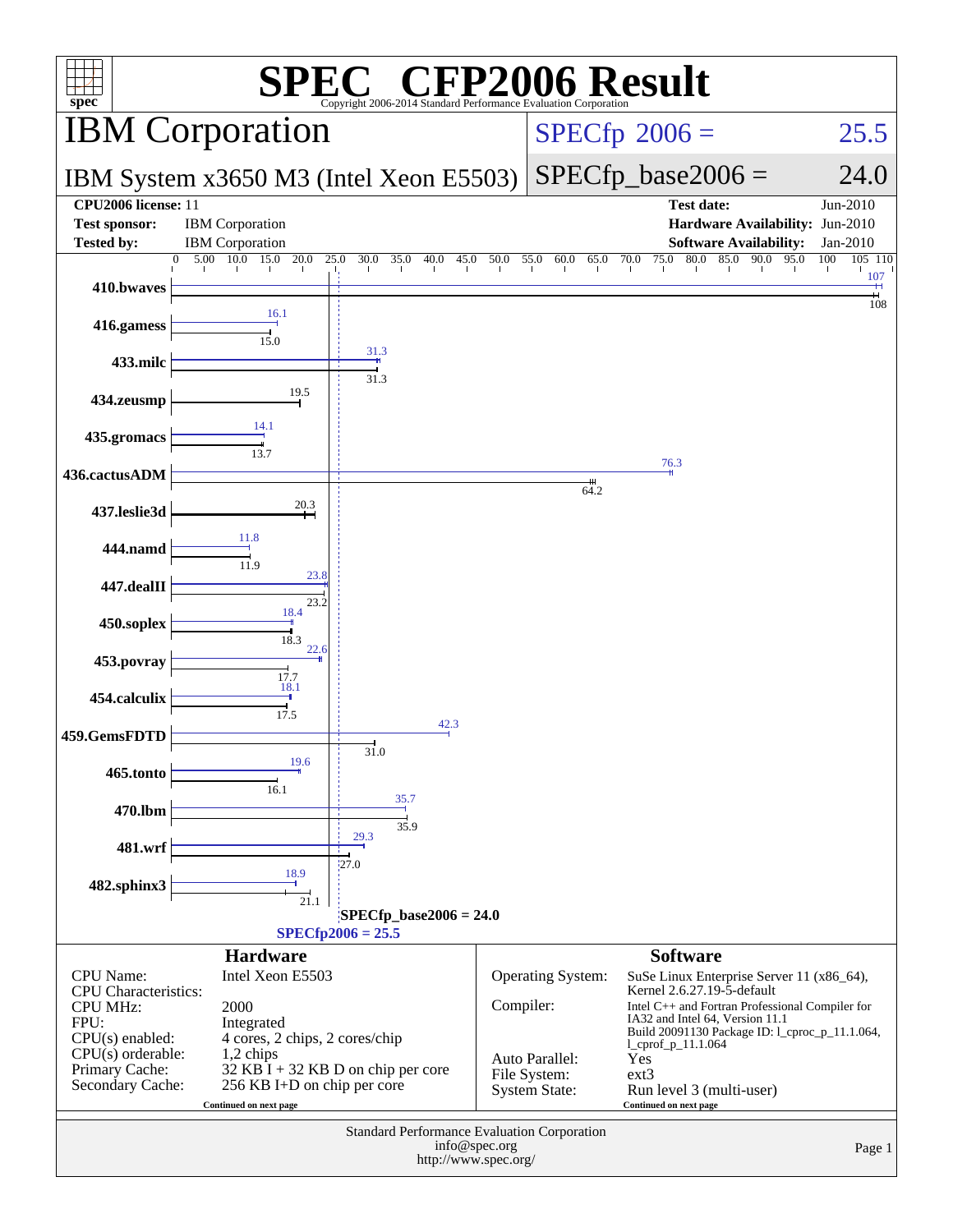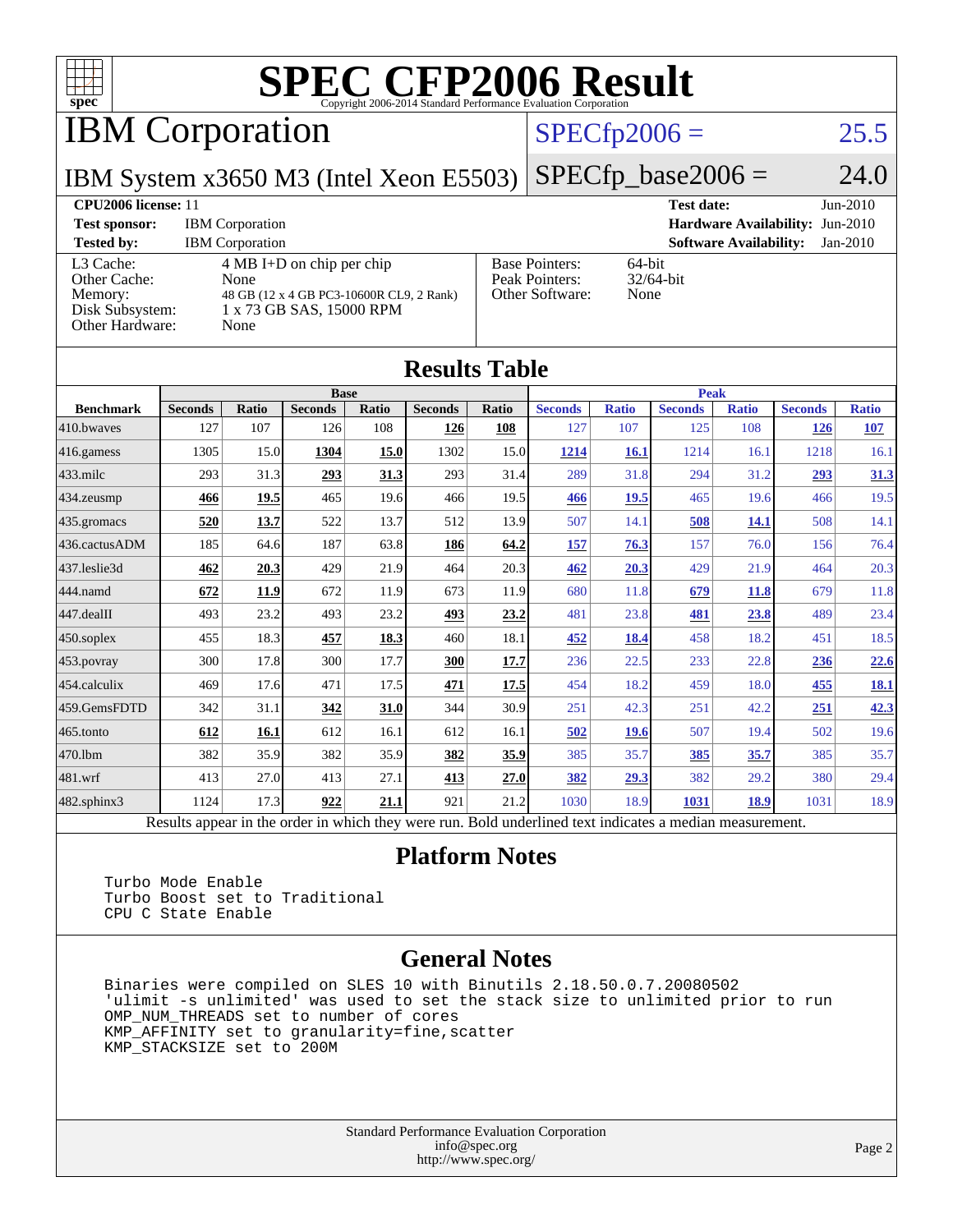

IBM Corporation

#### $SPECfp2006 = 25.5$  $SPECfp2006 = 25.5$

IBM System x3650 M3 (Intel Xeon E5503)

 $SPECfp\_base2006 = 24.0$ 

#### **[CPU2006 license:](http://www.spec.org/auto/cpu2006/Docs/result-fields.html#CPU2006license)** 11 **[Test date:](http://www.spec.org/auto/cpu2006/Docs/result-fields.html#Testdate)** Jun-2010 **[Test sponsor:](http://www.spec.org/auto/cpu2006/Docs/result-fields.html#Testsponsor)** IBM Corporation **[Hardware Availability:](http://www.spec.org/auto/cpu2006/Docs/result-fields.html#HardwareAvailability)** Jun-2010 **[Tested by:](http://www.spec.org/auto/cpu2006/Docs/result-fields.html#Testedby)** IBM Corporation **[Software Availability:](http://www.spec.org/auto/cpu2006/Docs/result-fields.html#SoftwareAvailability)** Jan-2010 [L3 Cache:](http://www.spec.org/auto/cpu2006/Docs/result-fields.html#L3Cache) 4 MB I+D on chip per chip<br>Other Cache: None [Other Cache:](http://www.spec.org/auto/cpu2006/Docs/result-fields.html#OtherCache) [Memory:](http://www.spec.org/auto/cpu2006/Docs/result-fields.html#Memory) 48 GB (12 x 4 GB PC3-10600R CL9, 2 Rank) [Disk Subsystem:](http://www.spec.org/auto/cpu2006/Docs/result-fields.html#DiskSubsystem) 1 x 73 GB SAS, 15000 RPM [Other Hardware:](http://www.spec.org/auto/cpu2006/Docs/result-fields.html#OtherHardware) None [Base Pointers:](http://www.spec.org/auto/cpu2006/Docs/result-fields.html#BasePointers) 64-bit<br>Peak Pointers: 32/64-bit [Peak Pointers:](http://www.spec.org/auto/cpu2006/Docs/result-fields.html#PeakPointers) [Other Software:](http://www.spec.org/auto/cpu2006/Docs/result-fields.html#OtherSoftware) None

| <b>Results Table</b>   |                                                                                                          |              |                |       |                |       |                |              |                |              |                |              |
|------------------------|----------------------------------------------------------------------------------------------------------|--------------|----------------|-------|----------------|-------|----------------|--------------|----------------|--------------|----------------|--------------|
|                        | <b>Base</b>                                                                                              |              |                |       |                |       | <b>Peak</b>    |              |                |              |                |              |
| <b>Benchmark</b>       | <b>Seconds</b>                                                                                           | <b>Ratio</b> | <b>Seconds</b> | Ratio | <b>Seconds</b> | Ratio | <b>Seconds</b> | <b>Ratio</b> | <b>Seconds</b> | <b>Ratio</b> | <b>Seconds</b> | <b>Ratio</b> |
| 410.bwayes             | 127                                                                                                      | 107          | 126            | 108   | 126            | 108   | 127            | 107          | 125            | 108          | <b>126</b>     | 107          |
| $ 416$ .gamess         | 1305                                                                                                     | 15.0         | 1304           | 15.0  | 1302           | 15.0  | 1214           | 16.1         | 1214           | 16.1         | 1218           | 16.1         |
| $433$ .milc            | 293                                                                                                      | 31.3         | 293            | 31.3  | 293            | 31.4  | 289            | 31.8         | 294            | 31.2         | 293            | 31.3         |
| 434.zeusmp             | 466                                                                                                      | 19.5         | 465            | 19.6  | 466            | 19.5  | 466            | 19.5         | 465            | 19.6         | 466            | 19.5         |
| $435$ .gromacs         | 520                                                                                                      | 13.7         | 522            | 13.7  | 512            | 13.9  | 507            | 14.1         | 508            | 14.1         | 508            | 14.1         |
| 436.cactusADM          | 185                                                                                                      | 64.6         | 187            | 63.8  | 186            | 64.2  | <u>157</u>     | 76.3         | 157            | 76.0         | 156            | 76.4         |
| 437.leslie3d           | 462                                                                                                      | 20.3         | 429            | 21.9  | 464            | 20.3  | 462            | 20.3         | 429            | 21.9         | 464            | 20.3         |
| 444.namd               | 672                                                                                                      | 11.9         | 672            | 11.9  | 673            | 11.9  | 680            | 11.8         | 679            | 11.8         | 679            | 11.8         |
| $ 447 \text{.}$ dealII | 493                                                                                                      | 23.2         | 493            | 23.2  | 493            | 23.2  | 481            | 23.8         | 481            | 23.8         | 489            | 23.4         |
| $450$ .soplex          | 455                                                                                                      | 18.3         | 457            | 18.3  | 460            | 18.1  | 452            | 18.4         | 458            | 18.2         | 451            | 18.5         |
| $ 453$ . povray        | 300                                                                                                      | 17.8         | 300            | 17.7  | 300            | 17.7  | 236            | 22.5         | 233            | 22.8         | 236            | <u>22.6</u>  |
| $454$ calculix         | 469                                                                                                      | 17.6         | 471            | 17.5  | 471            | 17.5  | 454            | 18.2         | 459            | 18.0         | <b>455</b>     | <u>18.1</u>  |
| 459.GemsFDTD           | 342                                                                                                      | 31.1         | 342            | 31.0  | 344            | 30.9  | 251            | 42.3         | 251            | 42.2         | 251            | 42.3         |
| $465$ .tonto           | 612                                                                                                      | 16.1         | 612            | 16.1  | 612            | 16.1  | 502            | <b>19.6</b>  | 507            | 19.4         | 502            | 19.6         |
| 470.1bm                | 382                                                                                                      | 35.9         | 382            | 35.9  | 382            | 35.9  | 385            | 35.7         | <u>385</u>     | 35.7         | 385            | 35.7         |
| $ 481$ .wrf            | 413                                                                                                      | 27.0         | 413            | 27.1  | 413            | 27.0  | 382            | 29.3         | 382            | 29.2         | 380            | 29.4         |
| 482.sphinx3            | 1124                                                                                                     | 17.3         | 922            | 21.1  | 921            | 21.2  | 1030           | 18.9         | 1031           | 18.9         | 1031           | 18.9         |
|                        | Results appear in the order in which they were run. Bold underlined text indicates a median measurement. |              |                |       |                |       |                |              |                |              |                |              |

#### **[Platform Notes](http://www.spec.org/auto/cpu2006/Docs/result-fields.html#PlatformNotes)**

 Turbo Mode Enable Turbo Boost set to Traditional CPU C State Enable

#### **[General Notes](http://www.spec.org/auto/cpu2006/Docs/result-fields.html#GeneralNotes)**

 Binaries were compiled on SLES 10 with Binutils 2.18.50.0.7.20080502 'ulimit -s unlimited' was used to set the stack size to unlimited prior to run OMP\_NUM\_THREADS set to number of cores KMP\_AFFINITY set to granularity=fine,scatter KMP\_STACKSIZE set to 200M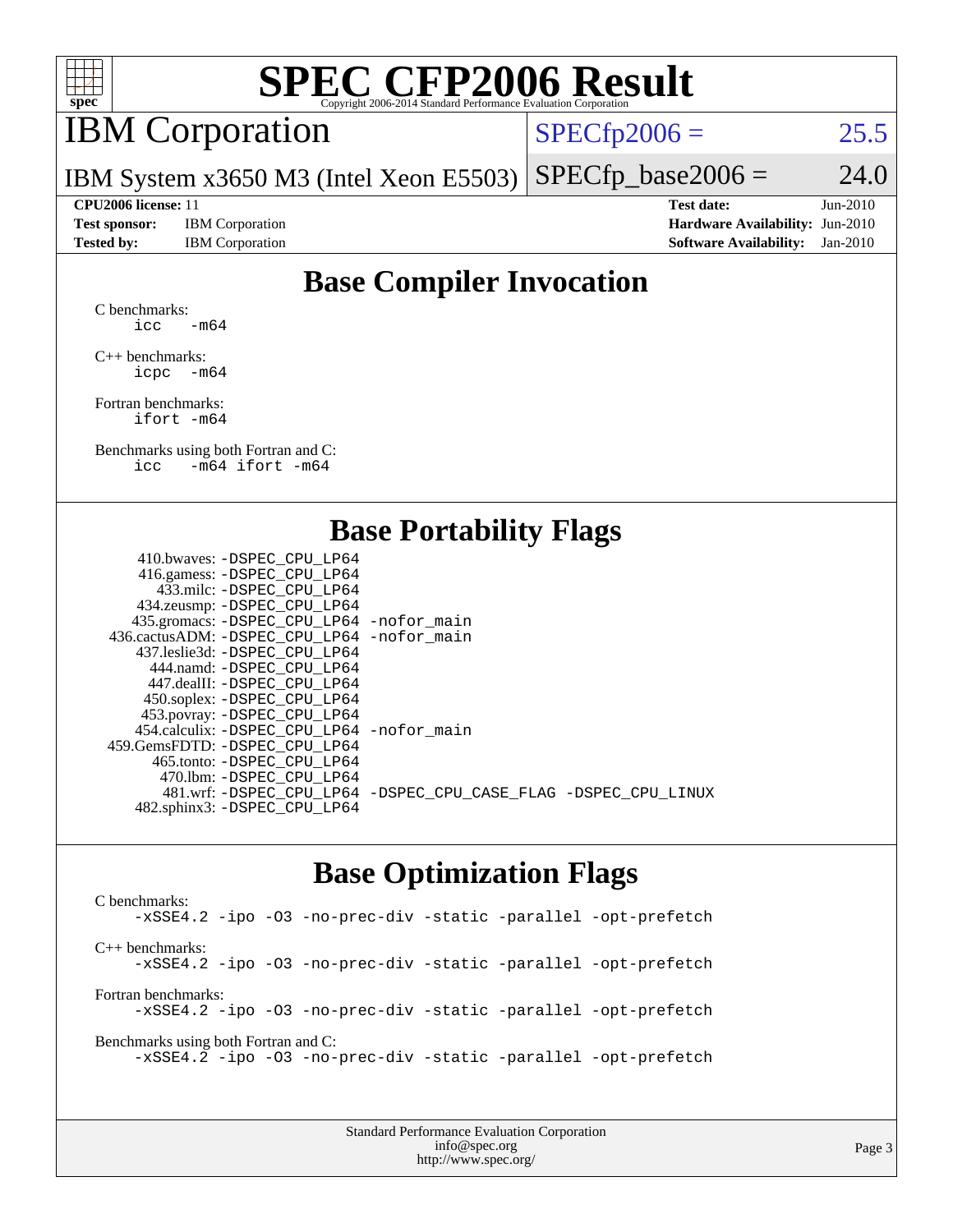

## IBM Corporation

 $SPECTp2006 = 25.5$ 

IBM System x3650 M3 (Intel Xeon E5503)  $SPECfp\_base2006 = 24.0$ 

**[Test sponsor:](http://www.spec.org/auto/cpu2006/Docs/result-fields.html#Testsponsor)** IBM Corporation **[Hardware Availability:](http://www.spec.org/auto/cpu2006/Docs/result-fields.html#HardwareAvailability)** Jun-2010

**[CPU2006 license:](http://www.spec.org/auto/cpu2006/Docs/result-fields.html#CPU2006license)** 11 **[Test date:](http://www.spec.org/auto/cpu2006/Docs/result-fields.html#Testdate)** Jun-2010 **[Tested by:](http://www.spec.org/auto/cpu2006/Docs/result-fields.html#Testedby)** IBM Corporation **[Software Availability:](http://www.spec.org/auto/cpu2006/Docs/result-fields.html#SoftwareAvailability)** Jan-2010

### **[Base Compiler Invocation](http://www.spec.org/auto/cpu2006/Docs/result-fields.html#BaseCompilerInvocation)**

[C benchmarks](http://www.spec.org/auto/cpu2006/Docs/result-fields.html#Cbenchmarks): icc  $-m64$ 

[C++ benchmarks:](http://www.spec.org/auto/cpu2006/Docs/result-fields.html#CXXbenchmarks) [icpc -m64](http://www.spec.org/cpu2006/results/res2010q3/cpu2006-20100719-12547.flags.html#user_CXXbase_intel_icpc_64bit_bedb90c1146cab66620883ef4f41a67e)

[Fortran benchmarks](http://www.spec.org/auto/cpu2006/Docs/result-fields.html#Fortranbenchmarks): [ifort -m64](http://www.spec.org/cpu2006/results/res2010q3/cpu2006-20100719-12547.flags.html#user_FCbase_intel_ifort_64bit_ee9d0fb25645d0210d97eb0527dcc06e)

[Benchmarks using both Fortran and C](http://www.spec.org/auto/cpu2006/Docs/result-fields.html#BenchmarksusingbothFortranandC): [icc -m64](http://www.spec.org/cpu2006/results/res2010q3/cpu2006-20100719-12547.flags.html#user_CC_FCbase_intel_icc_64bit_0b7121f5ab7cfabee23d88897260401c) [ifort -m64](http://www.spec.org/cpu2006/results/res2010q3/cpu2006-20100719-12547.flags.html#user_CC_FCbase_intel_ifort_64bit_ee9d0fb25645d0210d97eb0527dcc06e)

#### **[Base Portability Flags](http://www.spec.org/auto/cpu2006/Docs/result-fields.html#BasePortabilityFlags)**

| 410.bwaves: -DSPEC CPU LP64                 |                                                                |
|---------------------------------------------|----------------------------------------------------------------|
| 416.gamess: - DSPEC_CPU_LP64                |                                                                |
| 433.milc: -DSPEC CPU LP64                   |                                                                |
| 434.zeusmp: -DSPEC_CPU_LP64                 |                                                                |
| 435.gromacs: -DSPEC_CPU_LP64 -nofor_main    |                                                                |
| 436.cactusADM: -DSPEC CPU LP64 -nofor main  |                                                                |
| 437.leslie3d: -DSPEC CPU LP64               |                                                                |
| 444.namd: - DSPEC_CPU_LP64                  |                                                                |
| 447.dealII: -DSPEC CPU LP64                 |                                                                |
| 450.soplex: -DSPEC_CPU_LP64                 |                                                                |
| 453.povray: -DSPEC_CPU_LP64                 |                                                                |
| 454.calculix: - DSPEC CPU LP64 - nofor main |                                                                |
| 459.GemsFDTD: -DSPEC_CPU LP64               |                                                                |
| 465.tonto: - DSPEC_CPU LP64                 |                                                                |
| 470.1bm: - DSPEC CPU LP64                   |                                                                |
|                                             | 481.wrf: -DSPEC_CPU_LP64 -DSPEC_CPU_CASE_FLAG -DSPEC_CPU_LINUX |
| 482.sphinx3: -DSPEC_CPU_LP64                |                                                                |
|                                             |                                                                |

#### **[Base Optimization Flags](http://www.spec.org/auto/cpu2006/Docs/result-fields.html#BaseOptimizationFlags)**

[C benchmarks](http://www.spec.org/auto/cpu2006/Docs/result-fields.html#Cbenchmarks): [-xSSE4.2](http://www.spec.org/cpu2006/results/res2010q3/cpu2006-20100719-12547.flags.html#user_CCbase_f-xSSE42_f91528193cf0b216347adb8b939d4107) [-ipo](http://www.spec.org/cpu2006/results/res2010q3/cpu2006-20100719-12547.flags.html#user_CCbase_f-ipo) [-O3](http://www.spec.org/cpu2006/results/res2010q3/cpu2006-20100719-12547.flags.html#user_CCbase_f-O3) [-no-prec-div](http://www.spec.org/cpu2006/results/res2010q3/cpu2006-20100719-12547.flags.html#user_CCbase_f-no-prec-div) [-static](http://www.spec.org/cpu2006/results/res2010q3/cpu2006-20100719-12547.flags.html#user_CCbase_f-static) [-parallel](http://www.spec.org/cpu2006/results/res2010q3/cpu2006-20100719-12547.flags.html#user_CCbase_f-parallel) [-opt-prefetch](http://www.spec.org/cpu2006/results/res2010q3/cpu2006-20100719-12547.flags.html#user_CCbase_f-opt-prefetch) [C++ benchmarks:](http://www.spec.org/auto/cpu2006/Docs/result-fields.html#CXXbenchmarks) [-xSSE4.2](http://www.spec.org/cpu2006/results/res2010q3/cpu2006-20100719-12547.flags.html#user_CXXbase_f-xSSE42_f91528193cf0b216347adb8b939d4107) [-ipo](http://www.spec.org/cpu2006/results/res2010q3/cpu2006-20100719-12547.flags.html#user_CXXbase_f-ipo) [-O3](http://www.spec.org/cpu2006/results/res2010q3/cpu2006-20100719-12547.flags.html#user_CXXbase_f-O3) [-no-prec-div](http://www.spec.org/cpu2006/results/res2010q3/cpu2006-20100719-12547.flags.html#user_CXXbase_f-no-prec-div) [-static](http://www.spec.org/cpu2006/results/res2010q3/cpu2006-20100719-12547.flags.html#user_CXXbase_f-static) [-parallel](http://www.spec.org/cpu2006/results/res2010q3/cpu2006-20100719-12547.flags.html#user_CXXbase_f-parallel) [-opt-prefetch](http://www.spec.org/cpu2006/results/res2010q3/cpu2006-20100719-12547.flags.html#user_CXXbase_f-opt-prefetch) [Fortran benchmarks](http://www.spec.org/auto/cpu2006/Docs/result-fields.html#Fortranbenchmarks): [-xSSE4.2](http://www.spec.org/cpu2006/results/res2010q3/cpu2006-20100719-12547.flags.html#user_FCbase_f-xSSE42_f91528193cf0b216347adb8b939d4107) [-ipo](http://www.spec.org/cpu2006/results/res2010q3/cpu2006-20100719-12547.flags.html#user_FCbase_f-ipo) [-O3](http://www.spec.org/cpu2006/results/res2010q3/cpu2006-20100719-12547.flags.html#user_FCbase_f-O3) [-no-prec-div](http://www.spec.org/cpu2006/results/res2010q3/cpu2006-20100719-12547.flags.html#user_FCbase_f-no-prec-div) [-static](http://www.spec.org/cpu2006/results/res2010q3/cpu2006-20100719-12547.flags.html#user_FCbase_f-static) [-parallel](http://www.spec.org/cpu2006/results/res2010q3/cpu2006-20100719-12547.flags.html#user_FCbase_f-parallel) [-opt-prefetch](http://www.spec.org/cpu2006/results/res2010q3/cpu2006-20100719-12547.flags.html#user_FCbase_f-opt-prefetch) [Benchmarks using both Fortran and C](http://www.spec.org/auto/cpu2006/Docs/result-fields.html#BenchmarksusingbothFortranandC): [-xSSE4.2](http://www.spec.org/cpu2006/results/res2010q3/cpu2006-20100719-12547.flags.html#user_CC_FCbase_f-xSSE42_f91528193cf0b216347adb8b939d4107) [-ipo](http://www.spec.org/cpu2006/results/res2010q3/cpu2006-20100719-12547.flags.html#user_CC_FCbase_f-ipo) [-O3](http://www.spec.org/cpu2006/results/res2010q3/cpu2006-20100719-12547.flags.html#user_CC_FCbase_f-O3) [-no-prec-div](http://www.spec.org/cpu2006/results/res2010q3/cpu2006-20100719-12547.flags.html#user_CC_FCbase_f-no-prec-div) [-static](http://www.spec.org/cpu2006/results/res2010q3/cpu2006-20100719-12547.flags.html#user_CC_FCbase_f-static) [-parallel](http://www.spec.org/cpu2006/results/res2010q3/cpu2006-20100719-12547.flags.html#user_CC_FCbase_f-parallel) [-opt-prefetch](http://www.spec.org/cpu2006/results/res2010q3/cpu2006-20100719-12547.flags.html#user_CC_FCbase_f-opt-prefetch)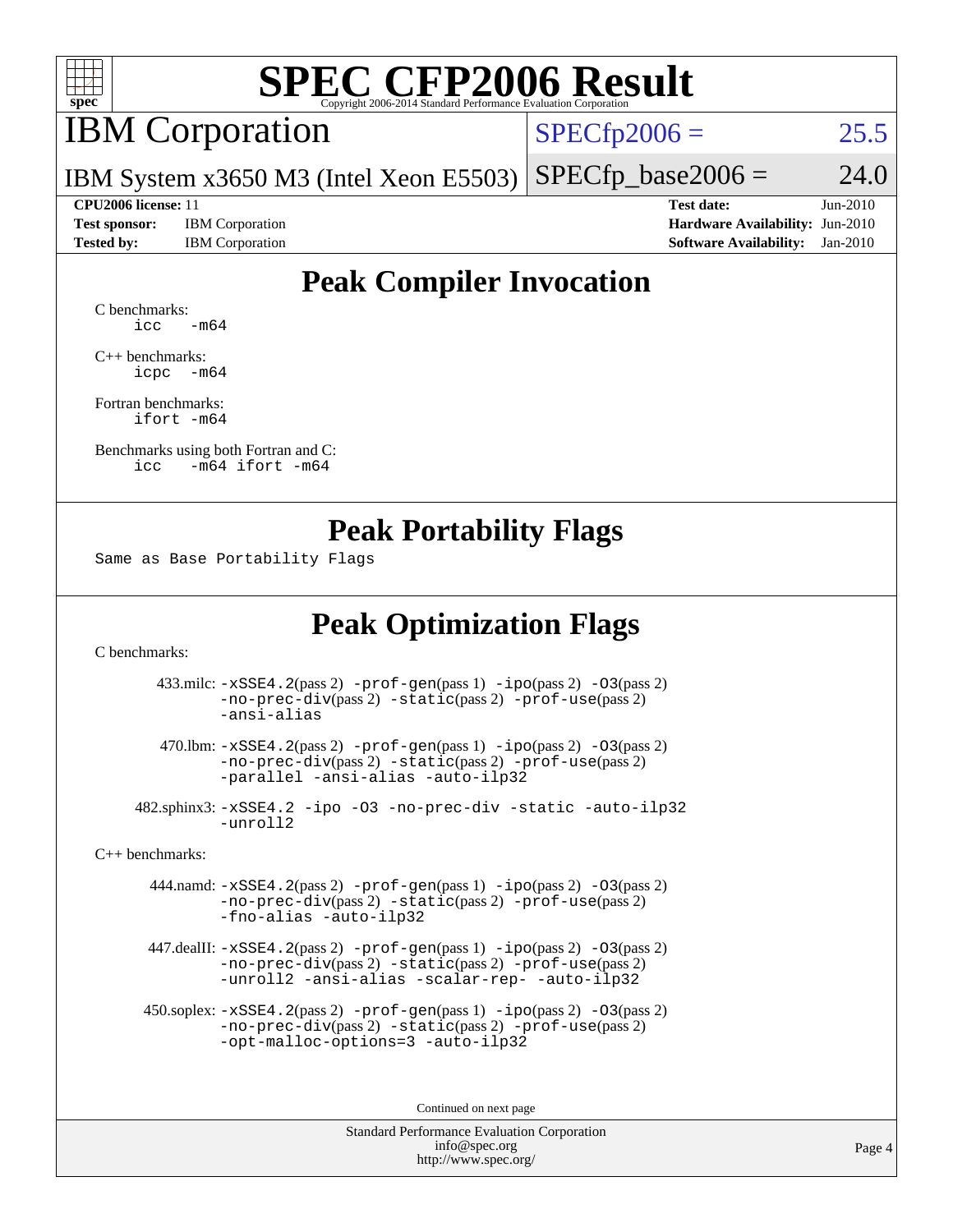

### IBM Corporation

 $SPECfp2006 = 25.5$  $SPECfp2006 = 25.5$ 

IBM System x3650 M3 (Intel Xeon E5503)  $SPECTp\_base2006 = 24.0$ 

**[Test sponsor:](http://www.spec.org/auto/cpu2006/Docs/result-fields.html#Testsponsor)** IBM Corporation **[Hardware Availability:](http://www.spec.org/auto/cpu2006/Docs/result-fields.html#HardwareAvailability)** Jun-2010

**[CPU2006 license:](http://www.spec.org/auto/cpu2006/Docs/result-fields.html#CPU2006license)** 11 **[Test date:](http://www.spec.org/auto/cpu2006/Docs/result-fields.html#Testdate)** Jun-2010 **[Tested by:](http://www.spec.org/auto/cpu2006/Docs/result-fields.html#Testedby)** IBM Corporation **[Software Availability:](http://www.spec.org/auto/cpu2006/Docs/result-fields.html#SoftwareAvailability)** Jan-2010

### **[Peak Compiler Invocation](http://www.spec.org/auto/cpu2006/Docs/result-fields.html#PeakCompilerInvocation)**

[C benchmarks](http://www.spec.org/auto/cpu2006/Docs/result-fields.html#Cbenchmarks):  $\text{icc}$   $-\text{m64}$ 

[C++ benchmarks:](http://www.spec.org/auto/cpu2006/Docs/result-fields.html#CXXbenchmarks) [icpc -m64](http://www.spec.org/cpu2006/results/res2010q3/cpu2006-20100719-12547.flags.html#user_CXXpeak_intel_icpc_64bit_bedb90c1146cab66620883ef4f41a67e)

[Fortran benchmarks](http://www.spec.org/auto/cpu2006/Docs/result-fields.html#Fortranbenchmarks): [ifort -m64](http://www.spec.org/cpu2006/results/res2010q3/cpu2006-20100719-12547.flags.html#user_FCpeak_intel_ifort_64bit_ee9d0fb25645d0210d97eb0527dcc06e)

[Benchmarks using both Fortran and C](http://www.spec.org/auto/cpu2006/Docs/result-fields.html#BenchmarksusingbothFortranandC): [icc -m64](http://www.spec.org/cpu2006/results/res2010q3/cpu2006-20100719-12547.flags.html#user_CC_FCpeak_intel_icc_64bit_0b7121f5ab7cfabee23d88897260401c) [ifort -m64](http://www.spec.org/cpu2006/results/res2010q3/cpu2006-20100719-12547.flags.html#user_CC_FCpeak_intel_ifort_64bit_ee9d0fb25645d0210d97eb0527dcc06e)

#### **[Peak Portability Flags](http://www.spec.org/auto/cpu2006/Docs/result-fields.html#PeakPortabilityFlags)**

Same as Base Portability Flags

#### **[Peak Optimization Flags](http://www.spec.org/auto/cpu2006/Docs/result-fields.html#PeakOptimizationFlags)**

[C benchmarks](http://www.spec.org/auto/cpu2006/Docs/result-fields.html#Cbenchmarks):

 433.milc: [-xSSE4.2](http://www.spec.org/cpu2006/results/res2010q3/cpu2006-20100719-12547.flags.html#user_peakPASS2_CFLAGSPASS2_LDFLAGS433_milc_f-xSSE42_f91528193cf0b216347adb8b939d4107)(pass 2) [-prof-gen](http://www.spec.org/cpu2006/results/res2010q3/cpu2006-20100719-12547.flags.html#user_peakPASS1_CFLAGSPASS1_LDFLAGS433_milc_prof_gen_e43856698f6ca7b7e442dfd80e94a8fc)(pass 1) [-ipo](http://www.spec.org/cpu2006/results/res2010q3/cpu2006-20100719-12547.flags.html#user_peakPASS2_CFLAGSPASS2_LDFLAGS433_milc_f-ipo)(pass 2) [-O3](http://www.spec.org/cpu2006/results/res2010q3/cpu2006-20100719-12547.flags.html#user_peakPASS2_CFLAGSPASS2_LDFLAGS433_milc_f-O3)(pass 2) [-no-prec-div](http://www.spec.org/cpu2006/results/res2010q3/cpu2006-20100719-12547.flags.html#user_peakPASS2_CFLAGSPASS2_LDFLAGS433_milc_f-no-prec-div)(pass 2) [-static](http://www.spec.org/cpu2006/results/res2010q3/cpu2006-20100719-12547.flags.html#user_peakPASS2_CFLAGSPASS2_LDFLAGS433_milc_f-static)(pass 2) [-prof-use](http://www.spec.org/cpu2006/results/res2010q3/cpu2006-20100719-12547.flags.html#user_peakPASS2_CFLAGSPASS2_LDFLAGS433_milc_prof_use_bccf7792157ff70d64e32fe3e1250b55)(pass 2) [-ansi-alias](http://www.spec.org/cpu2006/results/res2010q3/cpu2006-20100719-12547.flags.html#user_peakOPTIMIZE433_milc_f-ansi-alias)

 470.lbm: [-xSSE4.2](http://www.spec.org/cpu2006/results/res2010q3/cpu2006-20100719-12547.flags.html#user_peakPASS2_CFLAGSPASS2_LDFLAGS470_lbm_f-xSSE42_f91528193cf0b216347adb8b939d4107)(pass 2) [-prof-gen](http://www.spec.org/cpu2006/results/res2010q3/cpu2006-20100719-12547.flags.html#user_peakPASS1_CFLAGSPASS1_LDFLAGS470_lbm_prof_gen_e43856698f6ca7b7e442dfd80e94a8fc)(pass 1) [-ipo](http://www.spec.org/cpu2006/results/res2010q3/cpu2006-20100719-12547.flags.html#user_peakPASS2_CFLAGSPASS2_LDFLAGS470_lbm_f-ipo)(pass 2) [-O3](http://www.spec.org/cpu2006/results/res2010q3/cpu2006-20100719-12547.flags.html#user_peakPASS2_CFLAGSPASS2_LDFLAGS470_lbm_f-O3)(pass 2) [-no-prec-div](http://www.spec.org/cpu2006/results/res2010q3/cpu2006-20100719-12547.flags.html#user_peakPASS2_CFLAGSPASS2_LDFLAGS470_lbm_f-no-prec-div)(pass 2) [-static](http://www.spec.org/cpu2006/results/res2010q3/cpu2006-20100719-12547.flags.html#user_peakPASS2_CFLAGSPASS2_LDFLAGS470_lbm_f-static)(pass 2) [-prof-use](http://www.spec.org/cpu2006/results/res2010q3/cpu2006-20100719-12547.flags.html#user_peakPASS2_CFLAGSPASS2_LDFLAGS470_lbm_prof_use_bccf7792157ff70d64e32fe3e1250b55)(pass 2) [-parallel](http://www.spec.org/cpu2006/results/res2010q3/cpu2006-20100719-12547.flags.html#user_peakOPTIMIZE470_lbm_f-parallel) [-ansi-alias](http://www.spec.org/cpu2006/results/res2010q3/cpu2006-20100719-12547.flags.html#user_peakOPTIMIZE470_lbm_f-ansi-alias) [-auto-ilp32](http://www.spec.org/cpu2006/results/res2010q3/cpu2006-20100719-12547.flags.html#user_peakCOPTIMIZE470_lbm_f-auto-ilp32)

 482.sphinx3: [-xSSE4.2](http://www.spec.org/cpu2006/results/res2010q3/cpu2006-20100719-12547.flags.html#user_peakOPTIMIZE482_sphinx3_f-xSSE42_f91528193cf0b216347adb8b939d4107) [-ipo](http://www.spec.org/cpu2006/results/res2010q3/cpu2006-20100719-12547.flags.html#user_peakOPTIMIZE482_sphinx3_f-ipo) [-O3](http://www.spec.org/cpu2006/results/res2010q3/cpu2006-20100719-12547.flags.html#user_peakOPTIMIZE482_sphinx3_f-O3) [-no-prec-div](http://www.spec.org/cpu2006/results/res2010q3/cpu2006-20100719-12547.flags.html#user_peakOPTIMIZE482_sphinx3_f-no-prec-div) [-static](http://www.spec.org/cpu2006/results/res2010q3/cpu2006-20100719-12547.flags.html#user_peakOPTIMIZE482_sphinx3_f-static) [-auto-ilp32](http://www.spec.org/cpu2006/results/res2010q3/cpu2006-20100719-12547.flags.html#user_peakCOPTIMIZE482_sphinx3_f-auto-ilp32) [-unroll2](http://www.spec.org/cpu2006/results/res2010q3/cpu2006-20100719-12547.flags.html#user_peakCOPTIMIZE482_sphinx3_f-unroll_784dae83bebfb236979b41d2422d7ec2)

[C++ benchmarks:](http://www.spec.org/auto/cpu2006/Docs/result-fields.html#CXXbenchmarks)

 444.namd: [-xSSE4.2](http://www.spec.org/cpu2006/results/res2010q3/cpu2006-20100719-12547.flags.html#user_peakPASS2_CXXFLAGSPASS2_LDFLAGS444_namd_f-xSSE42_f91528193cf0b216347adb8b939d4107)(pass 2) [-prof-gen](http://www.spec.org/cpu2006/results/res2010q3/cpu2006-20100719-12547.flags.html#user_peakPASS1_CXXFLAGSPASS1_LDFLAGS444_namd_prof_gen_e43856698f6ca7b7e442dfd80e94a8fc)(pass 1) [-ipo](http://www.spec.org/cpu2006/results/res2010q3/cpu2006-20100719-12547.flags.html#user_peakPASS2_CXXFLAGSPASS2_LDFLAGS444_namd_f-ipo)(pass 2) [-O3](http://www.spec.org/cpu2006/results/res2010q3/cpu2006-20100719-12547.flags.html#user_peakPASS2_CXXFLAGSPASS2_LDFLAGS444_namd_f-O3)(pass 2) [-no-prec-div](http://www.spec.org/cpu2006/results/res2010q3/cpu2006-20100719-12547.flags.html#user_peakPASS2_CXXFLAGSPASS2_LDFLAGS444_namd_f-no-prec-div)(pass 2) [-static](http://www.spec.org/cpu2006/results/res2010q3/cpu2006-20100719-12547.flags.html#user_peakPASS2_CXXFLAGSPASS2_LDFLAGS444_namd_f-static)(pass 2) [-prof-use](http://www.spec.org/cpu2006/results/res2010q3/cpu2006-20100719-12547.flags.html#user_peakPASS2_CXXFLAGSPASS2_LDFLAGS444_namd_prof_use_bccf7792157ff70d64e32fe3e1250b55)(pass 2) [-fno-alias](http://www.spec.org/cpu2006/results/res2010q3/cpu2006-20100719-12547.flags.html#user_peakOPTIMIZE444_namd_f-no-alias_694e77f6c5a51e658e82ccff53a9e63a) [-auto-ilp32](http://www.spec.org/cpu2006/results/res2010q3/cpu2006-20100719-12547.flags.html#user_peakCXXOPTIMIZE444_namd_f-auto-ilp32)

 447.dealII: [-xSSE4.2](http://www.spec.org/cpu2006/results/res2010q3/cpu2006-20100719-12547.flags.html#user_peakPASS2_CXXFLAGSPASS2_LDFLAGS447_dealII_f-xSSE42_f91528193cf0b216347adb8b939d4107)(pass 2) [-prof-gen](http://www.spec.org/cpu2006/results/res2010q3/cpu2006-20100719-12547.flags.html#user_peakPASS1_CXXFLAGSPASS1_LDFLAGS447_dealII_prof_gen_e43856698f6ca7b7e442dfd80e94a8fc)(pass 1) [-ipo](http://www.spec.org/cpu2006/results/res2010q3/cpu2006-20100719-12547.flags.html#user_peakPASS2_CXXFLAGSPASS2_LDFLAGS447_dealII_f-ipo)(pass 2) [-O3](http://www.spec.org/cpu2006/results/res2010q3/cpu2006-20100719-12547.flags.html#user_peakPASS2_CXXFLAGSPASS2_LDFLAGS447_dealII_f-O3)(pass 2) [-no-prec-div](http://www.spec.org/cpu2006/results/res2010q3/cpu2006-20100719-12547.flags.html#user_peakPASS2_CXXFLAGSPASS2_LDFLAGS447_dealII_f-no-prec-div)(pass 2) [-static](http://www.spec.org/cpu2006/results/res2010q3/cpu2006-20100719-12547.flags.html#user_peakPASS2_CXXFLAGSPASS2_LDFLAGS447_dealII_f-static)(pass 2) [-prof-use](http://www.spec.org/cpu2006/results/res2010q3/cpu2006-20100719-12547.flags.html#user_peakPASS2_CXXFLAGSPASS2_LDFLAGS447_dealII_prof_use_bccf7792157ff70d64e32fe3e1250b55)(pass 2) [-unroll2](http://www.spec.org/cpu2006/results/res2010q3/cpu2006-20100719-12547.flags.html#user_peakOPTIMIZE447_dealII_f-unroll_784dae83bebfb236979b41d2422d7ec2) [-ansi-alias](http://www.spec.org/cpu2006/results/res2010q3/cpu2006-20100719-12547.flags.html#user_peakOPTIMIZE447_dealII_f-ansi-alias) [-scalar-rep-](http://www.spec.org/cpu2006/results/res2010q3/cpu2006-20100719-12547.flags.html#user_peakOPTIMIZE447_dealII_f-disablescalarrep_abbcad04450fb118e4809c81d83c8a1d) [-auto-ilp32](http://www.spec.org/cpu2006/results/res2010q3/cpu2006-20100719-12547.flags.html#user_peakCXXOPTIMIZE447_dealII_f-auto-ilp32)

 450.soplex: [-xSSE4.2](http://www.spec.org/cpu2006/results/res2010q3/cpu2006-20100719-12547.flags.html#user_peakPASS2_CXXFLAGSPASS2_LDFLAGS450_soplex_f-xSSE42_f91528193cf0b216347adb8b939d4107)(pass 2) [-prof-gen](http://www.spec.org/cpu2006/results/res2010q3/cpu2006-20100719-12547.flags.html#user_peakPASS1_CXXFLAGSPASS1_LDFLAGS450_soplex_prof_gen_e43856698f6ca7b7e442dfd80e94a8fc)(pass 1) [-ipo](http://www.spec.org/cpu2006/results/res2010q3/cpu2006-20100719-12547.flags.html#user_peakPASS2_CXXFLAGSPASS2_LDFLAGS450_soplex_f-ipo)(pass 2) [-O3](http://www.spec.org/cpu2006/results/res2010q3/cpu2006-20100719-12547.flags.html#user_peakPASS2_CXXFLAGSPASS2_LDFLAGS450_soplex_f-O3)(pass 2) [-no-prec-div](http://www.spec.org/cpu2006/results/res2010q3/cpu2006-20100719-12547.flags.html#user_peakPASS2_CXXFLAGSPASS2_LDFLAGS450_soplex_f-no-prec-div)(pass 2) [-static](http://www.spec.org/cpu2006/results/res2010q3/cpu2006-20100719-12547.flags.html#user_peakPASS2_CXXFLAGSPASS2_LDFLAGS450_soplex_f-static)(pass 2) [-prof-use](http://www.spec.org/cpu2006/results/res2010q3/cpu2006-20100719-12547.flags.html#user_peakPASS2_CXXFLAGSPASS2_LDFLAGS450_soplex_prof_use_bccf7792157ff70d64e32fe3e1250b55)(pass 2) [-opt-malloc-options=3](http://www.spec.org/cpu2006/results/res2010q3/cpu2006-20100719-12547.flags.html#user_peakOPTIMIZE450_soplex_f-opt-malloc-options_13ab9b803cf986b4ee62f0a5998c2238) [-auto-ilp32](http://www.spec.org/cpu2006/results/res2010q3/cpu2006-20100719-12547.flags.html#user_peakCXXOPTIMIZE450_soplex_f-auto-ilp32)

Continued on next page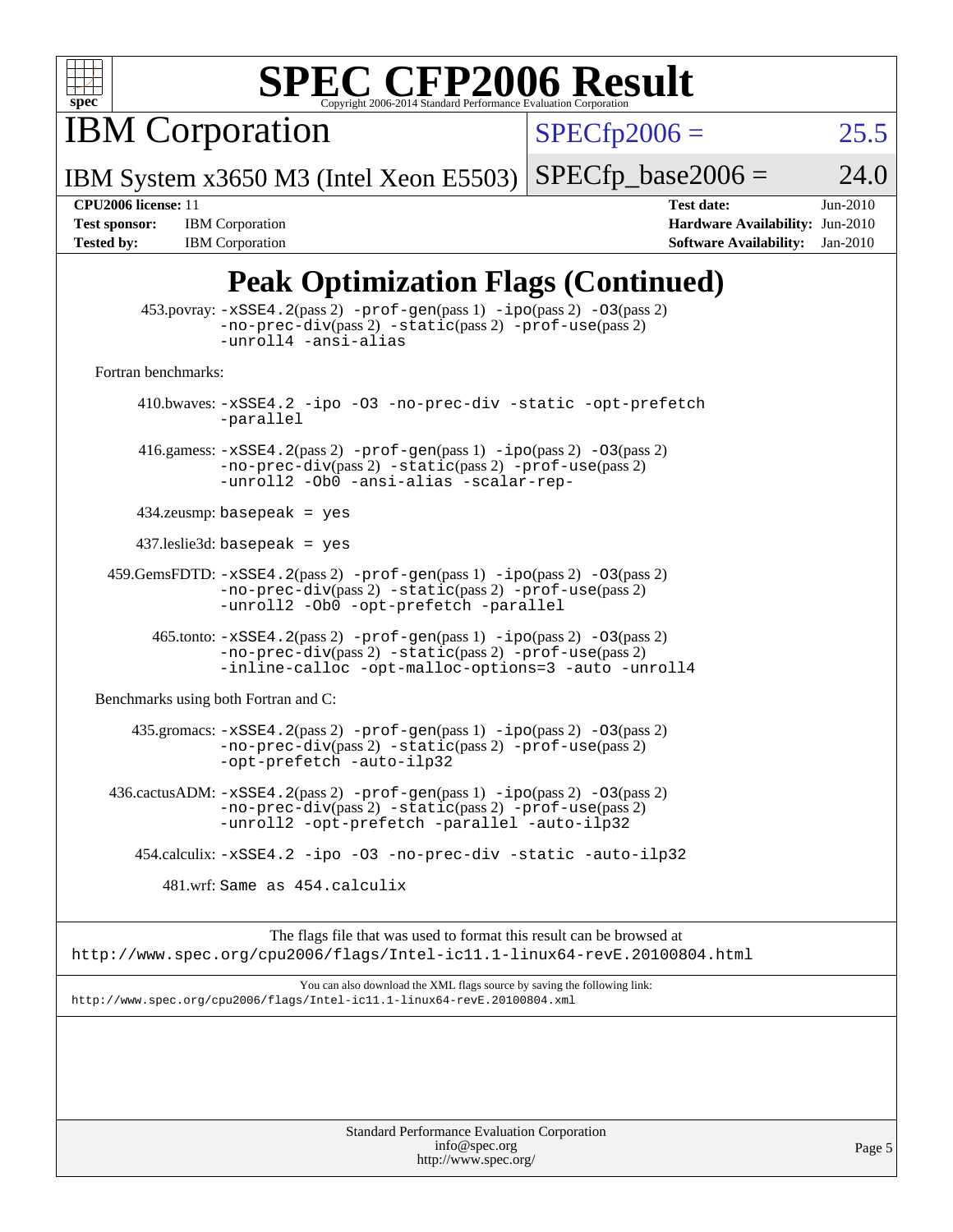

IBM Corporation

 $SPECfp2006 = 25.5$  $SPECfp2006 = 25.5$ 

IBM System x3650 M3 (Intel Xeon E5503)  $SPECfp\_base2006 = 24.0$ 

**[Tested by:](http://www.spec.org/auto/cpu2006/Docs/result-fields.html#Testedby)** IBM Corporation **[Software Availability:](http://www.spec.org/auto/cpu2006/Docs/result-fields.html#SoftwareAvailability)** Jan-2010

**[CPU2006 license:](http://www.spec.org/auto/cpu2006/Docs/result-fields.html#CPU2006license)** 11 **[Test date:](http://www.spec.org/auto/cpu2006/Docs/result-fields.html#Testdate)** Jun-2010 **[Test sponsor:](http://www.spec.org/auto/cpu2006/Docs/result-fields.html#Testsponsor)** IBM Corporation **[Hardware Availability:](http://www.spec.org/auto/cpu2006/Docs/result-fields.html#HardwareAvailability)** Jun-2010

### **[Peak Optimization Flags \(Continued\)](http://www.spec.org/auto/cpu2006/Docs/result-fields.html#PeakOptimizationFlags)**

|                                      | $\sim$                                                                                                                                                                                  |
|--------------------------------------|-----------------------------------------------------------------------------------------------------------------------------------------------------------------------------------------|
|                                      | 453.povray: -xSSE4.2(pass 2) -prof-gen(pass 1) -ipo(pass 2) -03(pass 2)<br>-no-prec-div(pass 2) -static(pass 2) -prof-use(pass 2)<br>-unroll4 -ansi-alias                               |
| Fortran benchmarks:                  |                                                                                                                                                                                         |
| -parallel                            | 410.bwaves: -xSSE4.2 -ipo -03 -no-prec-div -static -opt-prefetch                                                                                                                        |
|                                      | 416.gamess: $-xSSE4$ . 2(pass 2) $-prof-gen(pass 1) -ipo(pass 2) -03(pass 2)$<br>-no-prec-div(pass 2) -static(pass 2) -prof-use(pass 2)<br>-unroll2 -Ob0 -ansi-alias -scalar-rep-       |
| $434$ .zeusmp: basepeak = yes        |                                                                                                                                                                                         |
| $437$ .leslie3d: basepeak = yes      |                                                                                                                                                                                         |
|                                      | $459.GemsFDTD: -xSSE4.2(pass 2) -prof-gen(pass 1) -ipo(pass 2) -03(pass 2)$<br>-no-prec-div(pass 2) -static(pass 2) -prof-use(pass 2)<br>-unroll2 -Ob0 -opt-prefetch -parallel          |
|                                      | 465.tonto: -xSSE4.2(pass 2) -prof-gen(pass 1) -ipo(pass 2) -03(pass 2)<br>-no-prec-div(pass 2) -static(pass 2) -prof-use(pass 2)<br>-inline-calloc -opt-malloc-options=3 -auto -unroll4 |
| Benchmarks using both Fortran and C: |                                                                                                                                                                                         |
|                                      | 435.gromacs: $-xSSE4$ . 2(pass 2) -prof-gen(pass 1) -ipo(pass 2) -03(pass 2)<br>-no-prec-div(pass 2) -static(pass 2) -prof-use(pass 2)<br>-opt-prefetch -auto-ilp32                     |
|                                      | 436.cactusADM: -xSSE4.2(pass 2) -prof-gen(pass 1) -ipo(pass 2) -03(pass 2)<br>-no-prec-div(pass 2) -static(pass 2) -prof-use(pass 2)<br>-unroll2 -opt-prefetch -parallel -auto-ilp32    |
|                                      | 454.calculix: -xSSE4.2 -ipo -03 -no-prec-div -static -auto-ilp32                                                                                                                        |
|                                      | 481.wrf: Same as 454.calculix                                                                                                                                                           |
|                                      | The flags file that was used to format this result can be browsed at<br>http://www.spec.org/cpu2006/flags/Intel-ic11.1-linux64-revE.20100804.html                                       |
|                                      | You can also download the XML flags source by saying the following link:<br>http://www.spec.org/cpu2006/flags/Intel-icll.1-linux64-revE.20100804.xml                                    |
|                                      |                                                                                                                                                                                         |
|                                      | Standard Darformance Evaluation Corporation                                                                                                                                             |